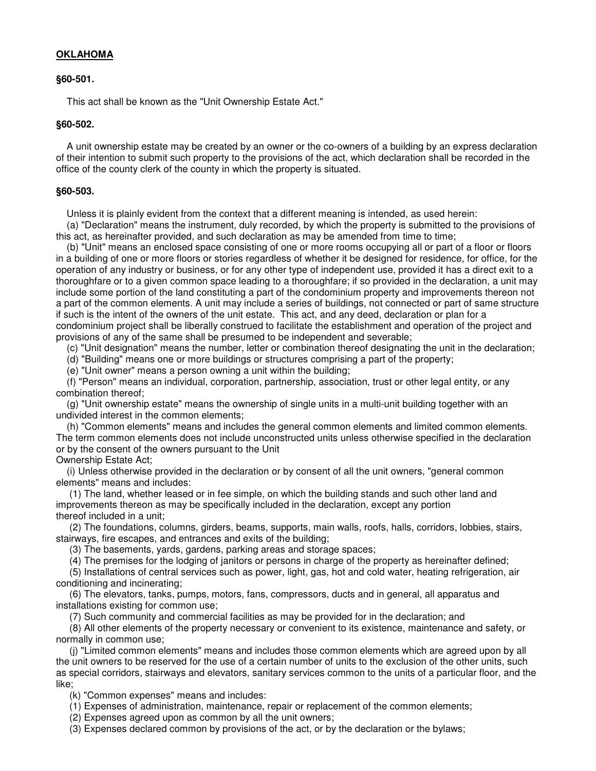# **OKLAHOMA**

### **§60-501.**

This act shall be known as the "Unit Ownership Estate Act."

### **§60-502.**

 A unit ownership estate may be created by an owner or the co-owners of a building by an express declaration of their intention to submit such property to the provisions of the act, which declaration shall be recorded in the office of the county clerk of the county in which the property is situated.

### **§60-503.**

Unless it is plainly evident from the context that a different meaning is intended, as used herein:

 (a) "Declaration" means the instrument, duly recorded, by which the property is submitted to the provisions of this act, as hereinafter provided, and such declaration as may be amended from time to time;

 (b) "Unit" means an enclosed space consisting of one or more rooms occupying all or part of a floor or floors in a building of one or more floors or stories regardless of whether it be designed for residence, for office, for the operation of any industry or business, or for any other type of independent use, provided it has a direct exit to a thoroughfare or to a given common space leading to a thoroughfare; if so provided in the declaration, a unit may include some portion of the land constituting a part of the condominium property and improvements thereon not a part of the common elements. A unit may include a series of buildings, not connected or part of same structure if such is the intent of the owners of the unit estate. This act, and any deed, declaration or plan for a condominium project shall be liberally construed to facilitate the establishment and operation of the project and provisions of any of the same shall be presumed to be independent and severable;

(c) "Unit designation" means the number, letter or combination thereof designating the unit in the declaration;

(d) "Building" means one or more buildings or structures comprising a part of the property;

(e) "Unit owner" means a person owning a unit within the building;

 (f) "Person" means an individual, corporation, partnership, association, trust or other legal entity, or any combination thereof;

 (g) "Unit ownership estate" means the ownership of single units in a multi-unit building together with an undivided interest in the common elements;

 (h) "Common elements" means and includes the general common elements and limited common elements. The term common elements does not include unconstructed units unless otherwise specified in the declaration or by the consent of the owners pursuant to the Unit

Ownership Estate Act;

 (i) Unless otherwise provided in the declaration or by consent of all the unit owners, "general common elements" means and includes:

 (1) The land, whether leased or in fee simple, on which the building stands and such other land and improvements thereon as may be specifically included in the declaration, except any portion thereof included in a unit;

 (2) The foundations, columns, girders, beams, supports, main walls, roofs, halls, corridors, lobbies, stairs, stairways, fire escapes, and entrances and exits of the building;

(3) The basements, yards, gardens, parking areas and storage spaces;

(4) The premises for the lodging of janitors or persons in charge of the property as hereinafter defined;

 (5) Installations of central services such as power, light, gas, hot and cold water, heating refrigeration, air conditioning and incinerating;

 (6) The elevators, tanks, pumps, motors, fans, compressors, ducts and in general, all apparatus and installations existing for common use;

(7) Such community and commercial facilities as may be provided for in the declaration; and

 (8) All other elements of the property necessary or convenient to its existence, maintenance and safety, or normally in common use;

 (j) "Limited common elements" means and includes those common elements which are agreed upon by all the unit owners to be reserved for the use of a certain number of units to the exclusion of the other units, such as special corridors, stairways and elevators, sanitary services common to the units of a particular floor, and the like;

(k) "Common expenses" means and includes:

(1) Expenses of administration, maintenance, repair or replacement of the common elements;

(2) Expenses agreed upon as common by all the unit owners;

(3) Expenses declared common by provisions of the act, or by the declaration or the bylaws;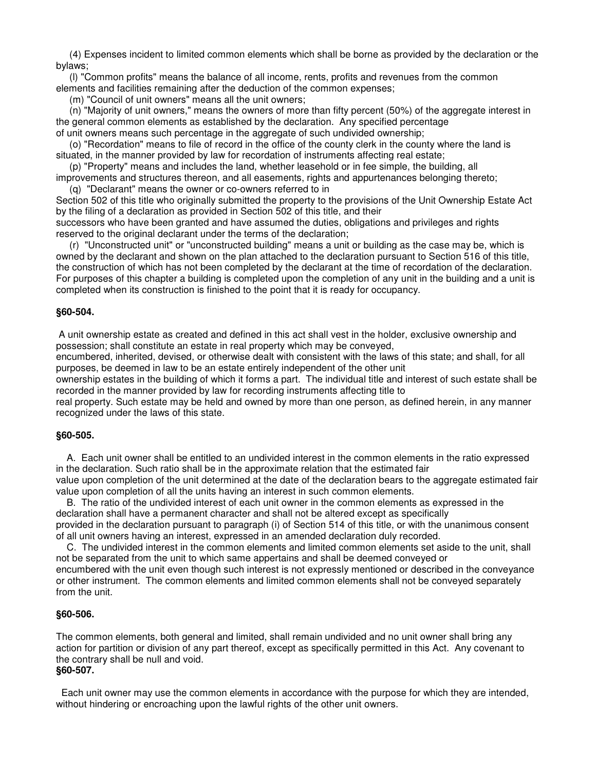(4) Expenses incident to limited common elements which shall be borne as provided by the declaration or the bylaws;

 (l) "Common profits" means the balance of all income, rents, profits and revenues from the common elements and facilities remaining after the deduction of the common expenses;

(m) "Council of unit owners" means all the unit owners;

 (n) "Majority of unit owners," means the owners of more than fifty percent (50%) of the aggregate interest in the general common elements as established by the declaration. Any specified percentage of unit owners means such percentage in the aggregate of such undivided ownership;

 (o) "Recordation" means to file of record in the office of the county clerk in the county where the land is situated, in the manner provided by law for recordation of instruments affecting real estate;

 (p) "Property" means and includes the land, whether leasehold or in fee simple, the building, all improvements and structures thereon, and all easements, rights and appurtenances belonging thereto; (q) "Declarant" means the owner or co-owners referred to in

Section 502 of this title who originally submitted the property to the provisions of the Unit Ownership Estate Act by the filing of a declaration as provided in Section 502 of this title, and their

successors who have been granted and have assumed the duties, obligations and privileges and rights reserved to the original declarant under the terms of the declaration;

 (r) "Unconstructed unit" or "unconstructed building" means a unit or building as the case may be, which is owned by the declarant and shown on the plan attached to the declaration pursuant to Section 516 of this title, the construction of which has not been completed by the declarant at the time of recordation of the declaration. For purposes of this chapter a building is completed upon the completion of any unit in the building and a unit is completed when its construction is finished to the point that it is ready for occupancy.

# **§60-504.**

 A unit ownership estate as created and defined in this act shall vest in the holder, exclusive ownership and possession; shall constitute an estate in real property which may be conveyed,

encumbered, inherited, devised, or otherwise dealt with consistent with the laws of this state; and shall, for all purposes, be deemed in law to be an estate entirely independent of the other unit

ownership estates in the building of which it forms a part. The individual title and interest of such estate shall be recorded in the manner provided by law for recording instruments affecting title to

real property. Such estate may be held and owned by more than one person, as defined herein, in any manner recognized under the laws of this state.

#### **§60-505.**

 A. Each unit owner shall be entitled to an undivided interest in the common elements in the ratio expressed in the declaration. Such ratio shall be in the approximate relation that the estimated fair value upon completion of the unit determined at the date of the declaration bears to the aggregate estimated fair

value upon completion of all the units having an interest in such common elements. B. The ratio of the undivided interest of each unit owner in the common elements as expressed in the

declaration shall have a permanent character and shall not be altered except as specifically provided in the declaration pursuant to paragraph (i) of Section 514 of this title, or with the unanimous consent of all unit owners having an interest, expressed in an amended declaration duly recorded.

 C. The undivided interest in the common elements and limited common elements set aside to the unit, shall not be separated from the unit to which same appertains and shall be deemed conveyed or

encumbered with the unit even though such interest is not expressly mentioned or described in the conveyance or other instrument. The common elements and limited common elements shall not be conveyed separately from the unit.

#### **§60-506.**

The common elements, both general and limited, shall remain undivided and no unit owner shall bring any action for partition or division of any part thereof, except as specifically permitted in this Act. Any covenant to the contrary shall be null and void. **§60-507.** 

# Each unit owner may use the common elements in accordance with the purpose for which they are intended, without hindering or encroaching upon the lawful rights of the other unit owners.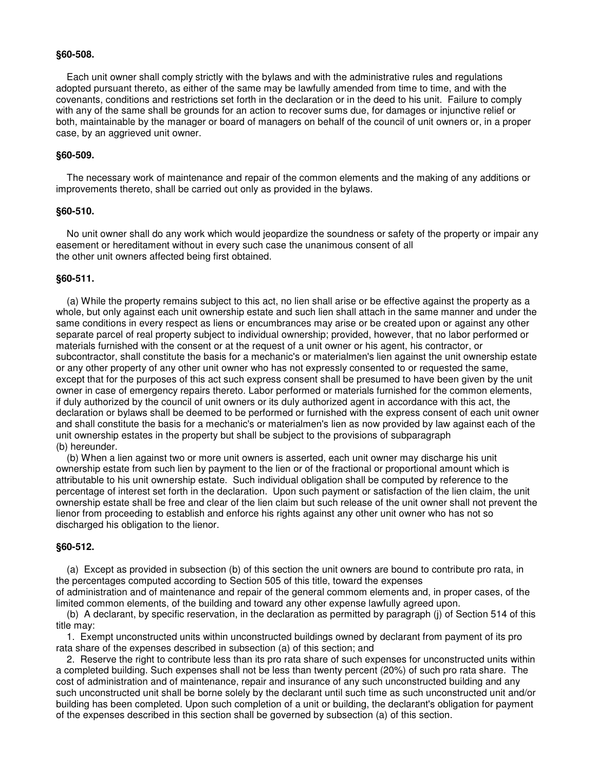#### **§60-508.**

 Each unit owner shall comply strictly with the bylaws and with the administrative rules and regulations adopted pursuant thereto, as either of the same may be lawfully amended from time to time, and with the covenants, conditions and restrictions set forth in the declaration or in the deed to his unit. Failure to comply with any of the same shall be grounds for an action to recover sums due, for damages or injunctive relief or both, maintainable by the manager or board of managers on behalf of the council of unit owners or, in a proper case, by an aggrieved unit owner.

# **§60-509.**

 The necessary work of maintenance and repair of the common elements and the making of any additions or improvements thereto, shall be carried out only as provided in the bylaws.

### **§60-510.**

 No unit owner shall do any work which would jeopardize the soundness or safety of the property or impair any easement or hereditament without in every such case the unanimous consent of all the other unit owners affected being first obtained.

## **§60-511.**

 (a) While the property remains subject to this act, no lien shall arise or be effective against the property as a whole, but only against each unit ownership estate and such lien shall attach in the same manner and under the same conditions in every respect as liens or encumbrances may arise or be created upon or against any other separate parcel of real property subject to individual ownership; provided, however, that no labor performed or materials furnished with the consent or at the request of a unit owner or his agent, his contractor, or subcontractor, shall constitute the basis for a mechanic's or materialmen's lien against the unit ownership estate or any other property of any other unit owner who has not expressly consented to or requested the same, except that for the purposes of this act such express consent shall be presumed to have been given by the unit owner in case of emergency repairs thereto. Labor performed or materials furnished for the common elements, if duly authorized by the council of unit owners or its duly authorized agent in accordance with this act, the declaration or bylaws shall be deemed to be performed or furnished with the express consent of each unit owner and shall constitute the basis for a mechanic's or materialmen's lien as now provided by law against each of the unit ownership estates in the property but shall be subject to the provisions of subparagraph (b) hereunder.

 (b) When a lien against two or more unit owners is asserted, each unit owner may discharge his unit ownership estate from such lien by payment to the lien or of the fractional or proportional amount which is attributable to his unit ownership estate. Such individual obligation shall be computed by reference to the percentage of interest set forth in the declaration. Upon such payment or satisfaction of the lien claim, the unit ownership estate shall be free and clear of the lien claim but such release of the unit owner shall not prevent the lienor from proceeding to establish and enforce his rights against any other unit owner who has not so discharged his obligation to the lienor.

#### **§60-512.**

 (a) Except as provided in subsection (b) of this section the unit owners are bound to contribute pro rata, in the percentages computed according to Section 505 of this title, toward the expenses

of administration and of maintenance and repair of the general commom elements and, in proper cases, of the limited common elements, of the building and toward any other expense lawfully agreed upon.

 (b) A declarant, by specific reservation, in the declaration as permitted by paragraph (j) of Section 514 of this title may:

 1. Exempt unconstructed units within unconstructed buildings owned by declarant from payment of its pro rata share of the expenses described in subsection (a) of this section; and

 2. Reserve the right to contribute less than its pro rata share of such expenses for unconstructed units within a completed building. Such expenses shall not be less than twenty percent (20%) of such pro rata share. The cost of administration and of maintenance, repair and insurance of any such unconstructed building and any such unconstructed unit shall be borne solely by the declarant until such time as such unconstructed unit and/or building has been completed. Upon such completion of a unit or building, the declarant's obligation for payment of the expenses described in this section shall be governed by subsection (a) of this section.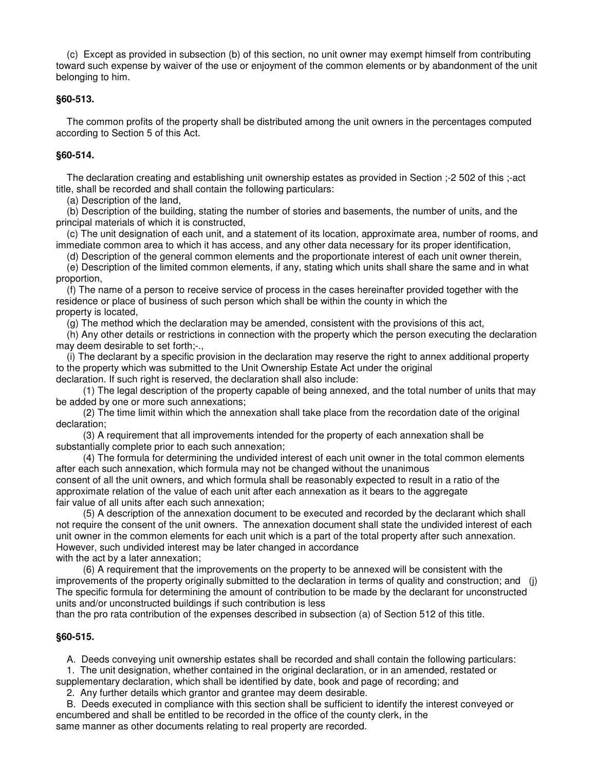(c) Except as provided in subsection (b) of this section, no unit owner may exempt himself from contributing toward such expense by waiver of the use or enjoyment of the common elements or by abandonment of the unit belonging to him.

# **§60-513.**

 The common profits of the property shall be distributed among the unit owners in the percentages computed according to Section 5 of this Act.

# **§60-514.**

 The declaration creating and establishing unit ownership estates as provided in Section ;-2 502 of this ;-act title, shall be recorded and shall contain the following particulars:

(a) Description of the land,

 (b) Description of the building, stating the number of stories and basements, the number of units, and the principal materials of which it is constructed,

 (c) The unit designation of each unit, and a statement of its location, approximate area, number of rooms, and immediate common area to which it has access, and any other data necessary for its proper identification,

(d) Description of the general common elements and the proportionate interest of each unit owner therein,

 (e) Description of the limited common elements, if any, stating which units shall share the same and in what proportion,

 (f) The name of a person to receive service of process in the cases hereinafter provided together with the residence or place of business of such person which shall be within the county in which the property is located,

(g) The method which the declaration may be amended, consistent with the provisions of this act,

 (h) Any other details or restrictions in connection with the property which the person executing the declaration may deem desirable to set forth;-.,

 (i) The declarant by a specific provision in the declaration may reserve the right to annex additional property to the property which was submitted to the Unit Ownership Estate Act under the original declaration. If such right is reserved, the declaration shall also include:

 (1) The legal description of the property capable of being annexed, and the total number of units that may be added by one or more such annexations;

 (2) The time limit within which the annexation shall take place from the recordation date of the original declaration;

 (3) A requirement that all improvements intended for the property of each annexation shall be substantially complete prior to each such annexation;

 (4) The formula for determining the undivided interest of each unit owner in the total common elements after each such annexation, which formula may not be changed without the unanimous consent of all the unit owners, and which formula shall be reasonably expected to result in a ratio of the approximate relation of the value of each unit after each annexation as it bears to the aggregate fair value of all units after each such annexation;

 (5) A description of the annexation document to be executed and recorded by the declarant which shall not require the consent of the unit owners. The annexation document shall state the undivided interest of each unit owner in the common elements for each unit which is a part of the total property after such annexation. However, such undivided interest may be later changed in accordance with the act by a later annexation;

 (6) A requirement that the improvements on the property to be annexed will be consistent with the improvements of the property originally submitted to the declaration in terms of quality and construction; and (j) The specific formula for determining the amount of contribution to be made by the declarant for unconstructed units and/or unconstructed buildings if such contribution is less

than the pro rata contribution of the expenses described in subsection (a) of Section 512 of this title.

# **§60-515.**

A. Deeds conveying unit ownership estates shall be recorded and shall contain the following particulars:

 1. The unit designation, whether contained in the original declaration, or in an amended, restated or supplementary declaration, which shall be identified by date, book and page of recording; and

2. Any further details which grantor and grantee may deem desirable.

 B. Deeds executed in compliance with this section shall be sufficient to identify the interest conveyed or encumbered and shall be entitled to be recorded in the office of the county clerk, in the same manner as other documents relating to real property are recorded.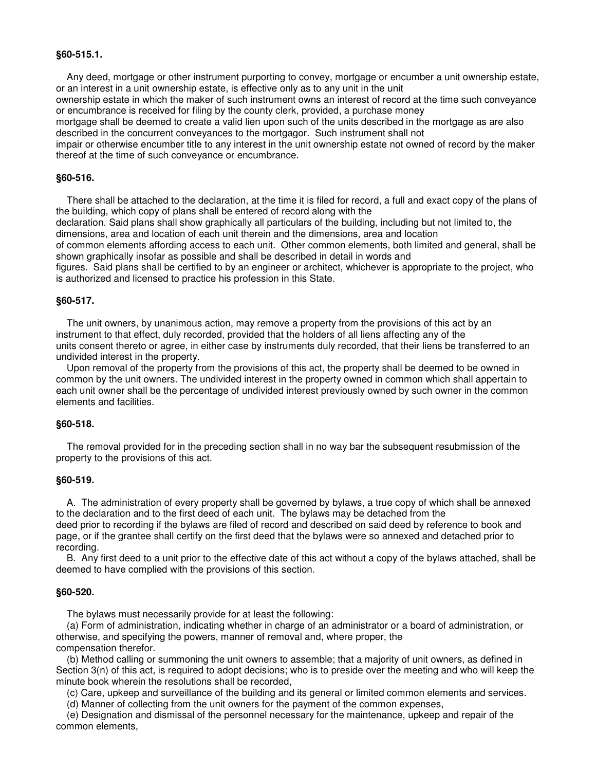### **§60-515.1.**

 Any deed, mortgage or other instrument purporting to convey, mortgage or encumber a unit ownership estate, or an interest in a unit ownership estate, is effective only as to any unit in the unit

ownership estate in which the maker of such instrument owns an interest of record at the time such conveyance or encumbrance is received for filing by the county clerk, provided, a purchase money

mortgage shall be deemed to create a valid lien upon such of the units described in the mortgage as are also described in the concurrent conveyances to the mortgagor. Such instrument shall not

impair or otherwise encumber title to any interest in the unit ownership estate not owned of record by the maker thereof at the time of such conveyance or encumbrance.

#### **§60-516.**

 There shall be attached to the declaration, at the time it is filed for record, a full and exact copy of the plans of the building, which copy of plans shall be entered of record along with the

declaration. Said plans shall show graphically all particulars of the building, including but not limited to, the dimensions, area and location of each unit therein and the dimensions, area and location

of common elements affording access to each unit. Other common elements, both limited and general, shall be shown graphically insofar as possible and shall be described in detail in words and

figures. Said plans shall be certified to by an engineer or architect, whichever is appropriate to the project, who is authorized and licensed to practice his profession in this State.

### **§60-517.**

 The unit owners, by unanimous action, may remove a property from the provisions of this act by an instrument to that effect, duly recorded, provided that the holders of all liens affecting any of the units consent thereto or agree, in either case by instruments duly recorded, that their liens be transferred to an undivided interest in the property.

 Upon removal of the property from the provisions of this act, the property shall be deemed to be owned in common by the unit owners. The undivided interest in the property owned in common which shall appertain to each unit owner shall be the percentage of undivided interest previously owned by such owner in the common elements and facilities.

# **§60-518.**

 The removal provided for in the preceding section shall in no way bar the subsequent resubmission of the property to the provisions of this act.

#### **§60-519.**

 A. The administration of every property shall be governed by bylaws, a true copy of which shall be annexed to the declaration and to the first deed of each unit. The bylaws may be detached from the deed prior to recording if the bylaws are filed of record and described on said deed by reference to book and page, or if the grantee shall certify on the first deed that the bylaws were so annexed and detached prior to recording.

 B. Any first deed to a unit prior to the effective date of this act without a copy of the bylaws attached, shall be deemed to have complied with the provisions of this section.

#### **§60-520.**

The bylaws must necessarily provide for at least the following:

 (a) Form of administration, indicating whether in charge of an administrator or a board of administration, or otherwise, and specifying the powers, manner of removal and, where proper, the compensation therefor.

 (b) Method calling or summoning the unit owners to assemble; that a majority of unit owners, as defined in Section 3(n) of this act, is required to adopt decisions; who is to preside over the meeting and who will keep the minute book wherein the resolutions shall be recorded,

(c) Care, upkeep and surveillance of the building and its general or limited common elements and services.

(d) Manner of collecting from the unit owners for the payment of the common expenses,

 (e) Designation and dismissal of the personnel necessary for the maintenance, upkeep and repair of the common elements,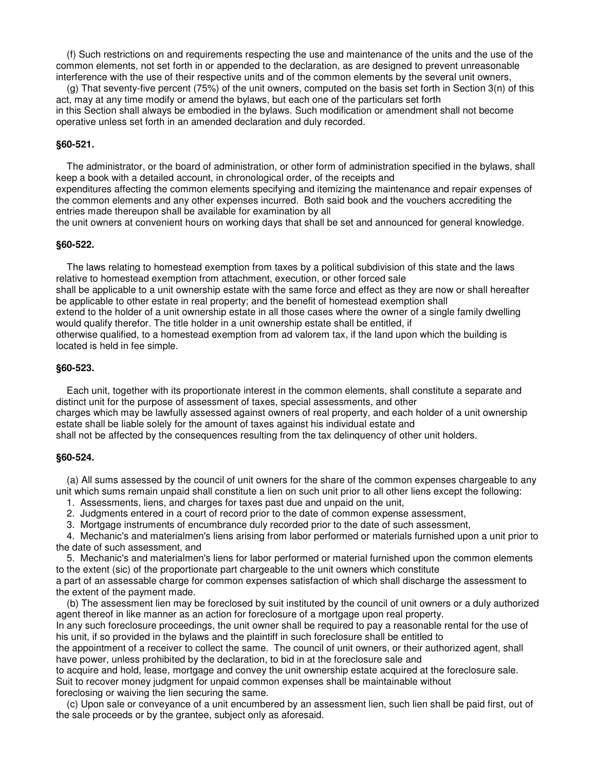(f) Such restrictions on and requirements respecting the use and maintenance of the units and the use of the common elements, not set forth in or appended to the declaration, as are designed to prevent unreasonable interference with the use of their respective units and of the common elements by the several unit owners,

 (g) That seventy-five percent (75%) of the unit owners, computed on the basis set forth in Section 3(n) of this act, may at any time modify or amend the bylaws, but each one of the particulars set forth in this Section shall always be embodied in the bylaws. Such modification or amendment shall not become operative unless set forth in an amended declaration and duly recorded.

### **§60-521.**

 The administrator, or the board of administration, or other form of administration specified in the bylaws, shall keep a book with a detailed account, in chronological order, of the receipts and

expenditures affecting the common elements specifying and itemizing the maintenance and repair expenses of the common elements and any other expenses incurred. Both said book and the vouchers accrediting the entries made thereupon shall be available for examination by all

the unit owners at convenient hours on working days that shall be set and announced for general knowledge.

#### **§60-522.**

 The laws relating to homestead exemption from taxes by a political subdivision of this state and the laws relative to homestead exemption from attachment, execution, or other forced sale shall be applicable to a unit ownership estate with the same force and effect as they are now or shall hereafter be applicable to other estate in real property; and the benefit of homestead exemption shall extend to the holder of a unit ownership estate in all those cases where the owner of a single family dwelling would qualify therefor. The title holder in a unit ownership estate shall be entitled, if otherwise qualified, to a homestead exemption from ad valorem tax, if the land upon which the building is located is held in fee simple.

#### **§60-523.**

 Each unit, together with its proportionate interest in the common elements, shall constitute a separate and distinct unit for the purpose of assessment of taxes, special assessments, and other charges which may be lawfully assessed against owners of real property, and each holder of a unit ownership estate shall be liable solely for the amount of taxes against his individual estate and shall not be affected by the consequences resulting from the tax delinquency of other unit holders.

#### **§60-524.**

 (a) All sums assessed by the council of unit owners for the share of the common expenses chargeable to any unit which sums remain unpaid shall constitute a lien on such unit prior to all other liens except the following:

- 1. Assessments, liens, and charges for taxes past due and unpaid on the unit,
- 2. Judgments entered in a court of record prior to the date of common expense assessment,
- 3. Mortgage instruments of encumbrance duly recorded prior to the date of such assessment,

 4. Mechanic's and materialmen's liens arising from labor performed or materials furnished upon a unit prior to the date of such assessment, and

 5. Mechanic's and materialmen's liens for labor performed or material furnished upon the common elements to the extent (sic) of the proportionate part chargeable to the unit owners which constitute

a part of an assessable charge for common expenses satisfaction of which shall discharge the assessment to the extent of the payment made.

 (b) The assessment lien may be foreclosed by suit instituted by the council of unit owners or a duly authorized agent thereof in like manner as an action for foreclosure of a mortgage upon real property.

In any such foreclosure proceedings, the unit owner shall be required to pay a reasonable rental for the use of his unit, if so provided in the bylaws and the plaintiff in such foreclosure shall be entitled to

the appointment of a receiver to collect the same. The council of unit owners, or their authorized agent, shall have power, unless prohibited by the declaration, to bid in at the foreclosure sale and

to acquire and hold, lease, mortgage and convey the unit ownership estate acquired at the foreclosure sale. Suit to recover money judgment for unpaid common expenses shall be maintainable without foreclosing or waiving the lien securing the same.

 (c) Upon sale or conveyance of a unit encumbered by an assessment lien, such lien shall be paid first, out of the sale proceeds or by the grantee, subject only as aforesaid.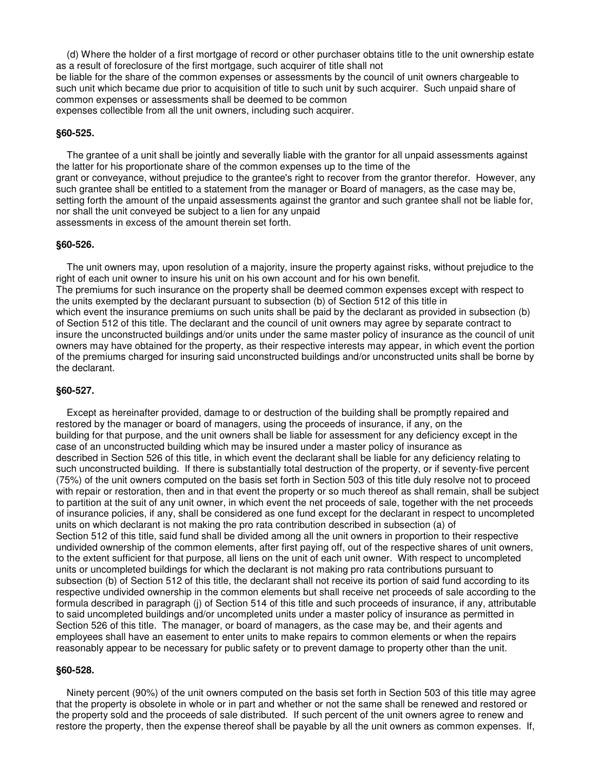(d) Where the holder of a first mortgage of record or other purchaser obtains title to the unit ownership estate as a result of foreclosure of the first mortgage, such acquirer of title shall not be liable for the share of the common expenses or assessments by the council of unit owners chargeable to such unit which became due prior to acquisition of title to such unit by such acquirer. Such unpaid share of common expenses or assessments shall be deemed to be common expenses collectible from all the unit owners, including such acquirer.

#### **§60-525.**

 The grantee of a unit shall be jointly and severally liable with the grantor for all unpaid assessments against the latter for his proportionate share of the common expenses up to the time of the grant or conveyance, without prejudice to the grantee's right to recover from the grantor therefor. However, any such grantee shall be entitled to a statement from the manager or Board of managers, as the case may be, setting forth the amount of the unpaid assessments against the grantor and such grantee shall not be liable for, nor shall the unit conveyed be subject to a lien for any unpaid assessments in excess of the amount therein set forth.

#### **§60-526.**

 The unit owners may, upon resolution of a majority, insure the property against risks, without prejudice to the right of each unit owner to insure his unit on his own account and for his own benefit. The premiums for such insurance on the property shall be deemed common expenses except with respect to the units exempted by the declarant pursuant to subsection (b) of Section 512 of this title in which event the insurance premiums on such units shall be paid by the declarant as provided in subsection (b) of Section 512 of this title. The declarant and the council of unit owners may agree by separate contract to insure the unconstructed buildings and/or units under the same master policy of insurance as the council of unit owners may have obtained for the property, as their respective interests may appear, in which event the portion of the premiums charged for insuring said unconstructed buildings and/or unconstructed units shall be borne by the declarant.

### **§60-527.**

 Except as hereinafter provided, damage to or destruction of the building shall be promptly repaired and restored by the manager or board of managers, using the proceeds of insurance, if any, on the building for that purpose, and the unit owners shall be liable for assessment for any deficiency except in the case of an unconstructed building which may be insured under a master policy of insurance as described in Section 526 of this title, in which event the declarant shall be liable for any deficiency relating to such unconstructed building. If there is substantially total destruction of the property, or if seventy-five percent (75%) of the unit owners computed on the basis set forth in Section 503 of this title duly resolve not to proceed with repair or restoration, then and in that event the property or so much thereof as shall remain, shall be subject to partition at the suit of any unit owner, in which event the net proceeds of sale, together with the net proceeds of insurance policies, if any, shall be considered as one fund except for the declarant in respect to uncompleted units on which declarant is not making the pro rata contribution described in subsection (a) of Section 512 of this title, said fund shall be divided among all the unit owners in proportion to their respective undivided ownership of the common elements, after first paying off, out of the respective shares of unit owners, to the extent sufficient for that purpose, all liens on the unit of each unit owner. With respect to uncompleted units or uncompleted buildings for which the declarant is not making pro rata contributions pursuant to subsection (b) of Section 512 of this title, the declarant shall not receive its portion of said fund according to its respective undivided ownership in the common elements but shall receive net proceeds of sale according to the formula described in paragraph (j) of Section 514 of this title and such proceeds of insurance, if any, attributable to said uncompleted buildings and/or uncompleted units under a master policy of insurance as permitted in Section 526 of this title. The manager, or board of managers, as the case may be, and their agents and employees shall have an easement to enter units to make repairs to common elements or when the repairs reasonably appear to be necessary for public safety or to prevent damage to property other than the unit.

### **§60-528.**

 Ninety percent (90%) of the unit owners computed on the basis set forth in Section 503 of this title may agree that the property is obsolete in whole or in part and whether or not the same shall be renewed and restored or the property sold and the proceeds of sale distributed. If such percent of the unit owners agree to renew and restore the property, then the expense thereof shall be payable by all the unit owners as common expenses. If,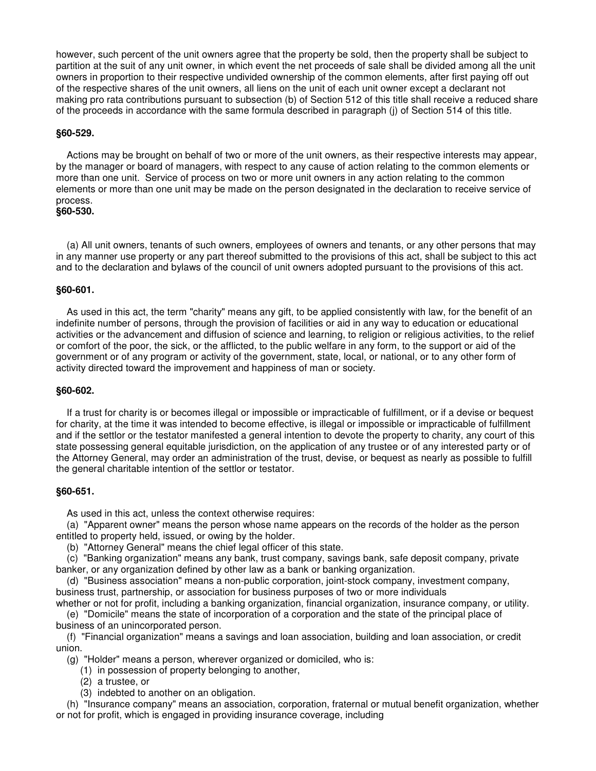however, such percent of the unit owners agree that the property be sold, then the property shall be subject to partition at the suit of any unit owner, in which event the net proceeds of sale shall be divided among all the unit owners in proportion to their respective undivided ownership of the common elements, after first paying off out of the respective shares of the unit owners, all liens on the unit of each unit owner except a declarant not making pro rata contributions pursuant to subsection (b) of Section 512 of this title shall receive a reduced share of the proceeds in accordance with the same formula described in paragraph (j) of Section 514 of this title.

### **§60-529.**

 Actions may be brought on behalf of two or more of the unit owners, as their respective interests may appear, by the manager or board of managers, with respect to any cause of action relating to the common elements or more than one unit. Service of process on two or more unit owners in any action relating to the common elements or more than one unit may be made on the person designated in the declaration to receive service of process.

**§60-530.** 

 (a) All unit owners, tenants of such owners, employees of owners and tenants, or any other persons that may in any manner use property or any part thereof submitted to the provisions of this act, shall be subject to this act and to the declaration and bylaws of the council of unit owners adopted pursuant to the provisions of this act.

### **§60-601.**

 As used in this act, the term "charity" means any gift, to be applied consistently with law, for the benefit of an indefinite number of persons, through the provision of facilities or aid in any way to education or educational activities or the advancement and diffusion of science and learning, to religion or religious activities, to the relief or comfort of the poor, the sick, or the afflicted, to the public welfare in any form, to the support or aid of the government or of any program or activity of the government, state, local, or national, or to any other form of activity directed toward the improvement and happiness of man or society.

### **§60-602.**

 If a trust for charity is or becomes illegal or impossible or impracticable of fulfillment, or if a devise or bequest for charity, at the time it was intended to become effective, is illegal or impossible or impracticable of fulfillment and if the settlor or the testator manifested a general intention to devote the property to charity, any court of this state possessing general equitable jurisdiction, on the application of any trustee or of any interested party or of the Attorney General, may order an administration of the trust, devise, or bequest as nearly as possible to fulfill the general charitable intention of the settlor or testator.

# **§60-651.**

As used in this act, unless the context otherwise requires:

 (a) "Apparent owner" means the person whose name appears on the records of the holder as the person entitled to property held, issued, or owing by the holder.

(b) "Attorney General" means the chief legal officer of this state.

 (c) "Banking organization" means any bank, trust company, savings bank, safe deposit company, private banker, or any organization defined by other law as a bank or banking organization.

 (d) "Business association" means a non-public corporation, joint-stock company, investment company, business trust, partnership, or association for business purposes of two or more individuals

whether or not for profit, including a banking organization, financial organization, insurance company, or utility. (e) "Domicile" means the state of incorporation of a corporation and the state of the principal place of business of an unincorporated person.

 (f) "Financial organization" means a savings and loan association, building and loan association, or credit union.

(g) "Holder" means a person, wherever organized or domiciled, who is:

- (1) in possession of property belonging to another,
- (2) a trustee, or
- (3) indebted to another on an obligation.

 (h) "Insurance company" means an association, corporation, fraternal or mutual benefit organization, whether or not for profit, which is engaged in providing insurance coverage, including